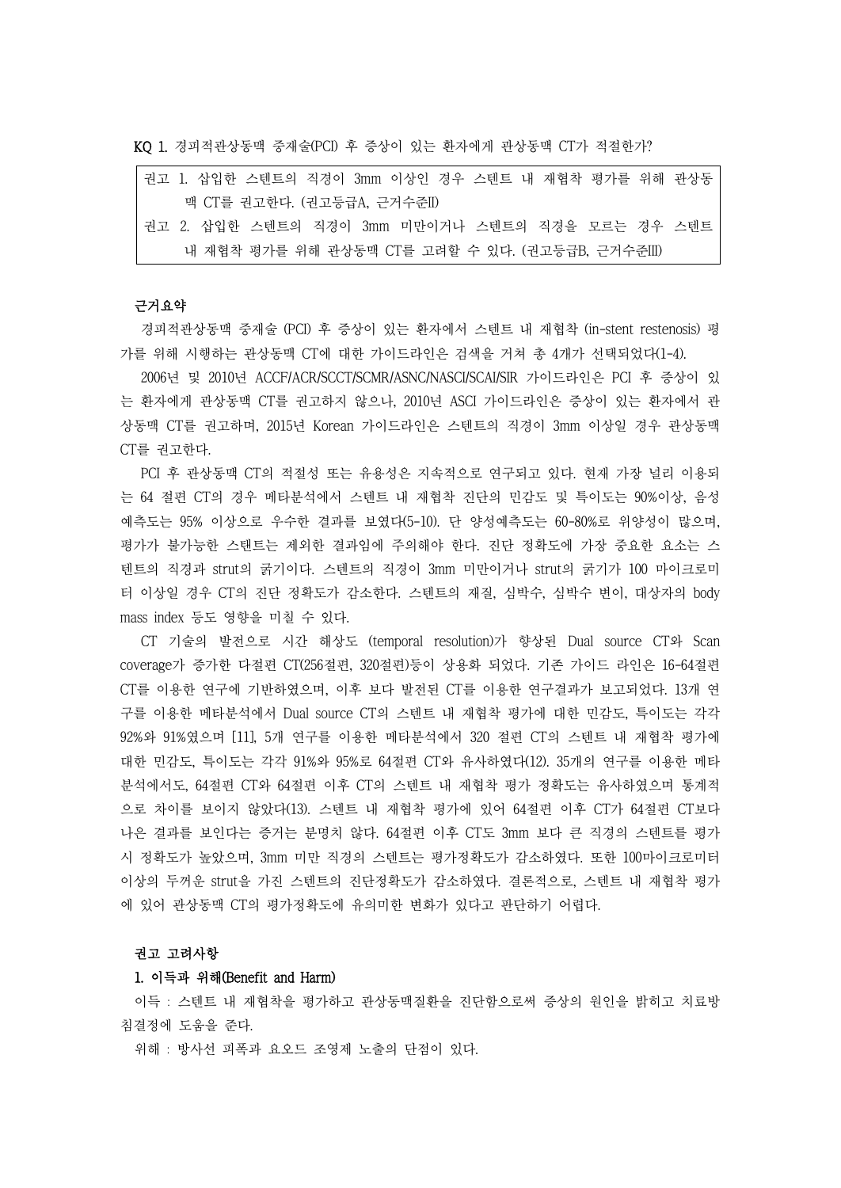KQ 1. 경피적관상동맥 중재술(PCI) 후 증상이 있는 환자에게 관상동맥 CT가 적절한가?

|                                                |  | 권고 1. 삽입한 스텐트의 직경이 3mm 이상인 경우 스텐트 내 재협착 평가를 위해 관상동 |  |  |  |  |  |  |  |  |  |  |  |
|------------------------------------------------|--|----------------------------------------------------|--|--|--|--|--|--|--|--|--|--|--|
| 맥 CT를 권고한다. (권고등급A, 근거수준II)                    |  |                                                    |  |  |  |  |  |  |  |  |  |  |  |
|                                                |  | 권고 2. 삽입한 스텐트의 직경이 3mm 미만이거나 스텐트의 직경을 모르는 경우 스텐트   |  |  |  |  |  |  |  |  |  |  |  |
| 내 재협착 평가를 위해 관상동맥 CT를 고려할 수 있다. (권고등급B, 근거수준Ⅲ) |  |                                                    |  |  |  |  |  |  |  |  |  |  |  |

# 근거요약

경피적관상동맥 중재술 (PCI) 후 증상이 있는 환자에서 스텐트 내 재협착 (in-stent restenosis) 평 가를 위해 시행하는 관상동맥 CT에 대한 가이드라인은 검색을 거쳐 총 4개가 선택되었다(1-4).

2006년 및 2010년 ACCF/ACR/SCCT/SCMR/ASNC/NASCI/SCAI/SIR 가이드라인은 PCI 후 증상이 있 는 환자에게 관상동맥 CT를 권고하지 않으나, 2010년 ASCI 가이드라인은 증상이 있는 환자에서 관 상동맥 CT를 권고하며, 2015년 Korean 가이드라인은 스텐트의 직경이 3mm 이상일 경우 관상동맥 CT를 권고한다. PCI 후 관상동맥 CT의 적절성 또는 유용성은 지속적으로 연구되고 있다. 현재 가장 널리 이용되

는 64 절편 CT의 경우 메타분석에서 스텐트 내 재협착 진단의 민감도 및 특이도는 90%이상, 음성 예측도는 95% 이상으로 우수한 결과를 보였다(5-10). 단 양성예측도는 60-80%로 위양성이 많으며,<br>평가가 불가능한 스탠트는 제외한 결과임에 주의해야 한다. 진단 정확도에 가장 중요한 요소는 스 텐트의 직경과 strut의 굵기이다. 스텐트의 직경이 3mm 미만이거나 strut의 굵기가 100 마이크로미 터 이상일 경우 CT의 진단 정확도가 감소한다. 스텐트의 재질, 심박수, 심박수 변이, 대상자의 body mass index 등도 영향을 미칠 수 있다. CT 기술의 발전으로 시간 해상도 (temporal resolution)가 향상된 Dual source CT와 Scan

coverage가 증가한 다절편 CT(256절편, 320절편)등이 상용화 되었다. 기존 가이드 라인은 16-64절편 CT를 이용한 연구에 기반하였으며, 이후 보다 발전된 CT를 이용한 연구결과가 보고되었다. 13개 연 구를 이용한 메타분석에서 Dual source CT의 스텐트 내 재협착 평가에 대한 민감도, 특이도는 각각 92%와 91%였으며 [11], 5개 연구를 이용한 메타분석에서 320 절편 CT의 스텐트 내 재협착 평가에 대한 민감도, 특이도는 각각 91%와 95%로 64절편 CT와 유사하였다(12). 35개의 연구를 이용한 메타 분석에서도, 64절편 CT와 64절편 이후 CT의 스텐트 내 재협착 평가 정확도는 유사하였으며 통계적 으로 차이를 보이지 않았다(13). 스텐트 내 재협착 평가에 있어 64절편 이후 CT가 64절편 CT보다 나은 결과를 보인다는 증거는 분명치 않다. 64절편 이후 CT도 3mm 보다 큰 직경의 스텐트를 평가 시 정확도가 높았으며, 3mm 미만 직경의 스텐트는 평가정확도가 감소하였다. 또한 100마이크로미터 이상의 두꺼운 strut을 가진 스텐트의 진단정확도가 감소하였다. 결론적으로, 스텐트 내 재협착 평가 에 있어 관상동맥 CT의 평가정확도에 유의미한 변화가 있다고 판단하기 어렵다.

# 권고 고려사항

# 1. 이득과 위해(Benefit and Harm)

이득 : 스텐트 내 재협착을 평가하고 관상동맥질환을 진단함으로써 증상의 원인을 밝히고 치료방 침결정에 도움을 준다.<br>- 위해 : 방사선 피폭과 요오드 조영제 노출의 단점이 있다.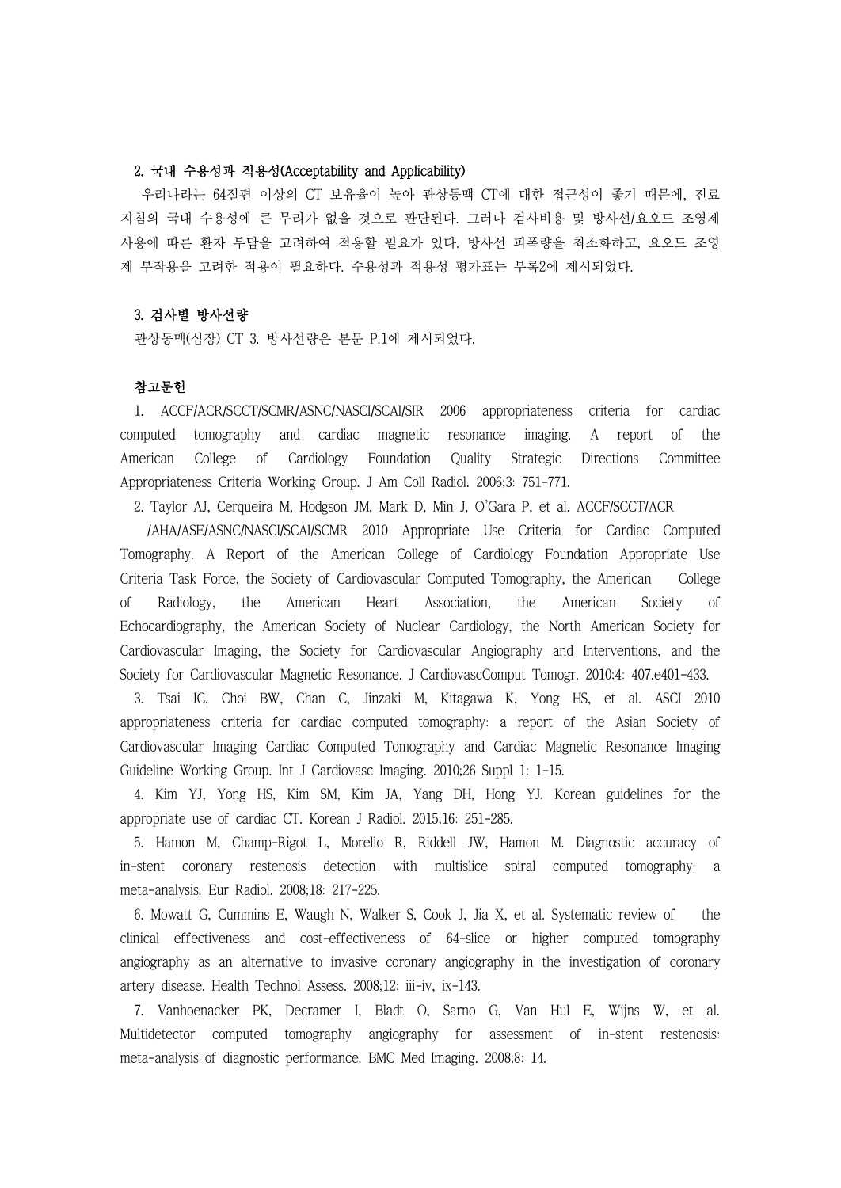# 2. 국내 수용성과 적용성(Acceptability and Applicability)

우리나라는 64절편 이상의 CT 보유율이 높아 관상동맥 CT에 대한 접근성이 좋기 때문에, 진료 지침의 국내 수용성에 큰 무리가 없을 것으로 판단된다. 그러나 검사비용 및 방사선/요오드 조영제 사용에 따른 환자 부담을 고려하여 적용할 필요가 있다. 방사선 피폭량을 최소화하고, 요오드 조영 제 부작용을 고려한 적용이 필요하다. 수용성과 적용성 평가표는 부록2에 제시되었다.

# 3. 검사별 방사선량

관상동맥(심장) CT 3. 방사선량은 본문 P.1에 제시되었다.

#### 참고문헌

1. ACCF/ACR/SCCT/SCMR/ASNC/NASCI/SCAI/SIR 2006 appropriateness criteria for cardiac computed tomography and cardiac magnetic resonance imaging. A report of the American College of Cardiology Foundation Quality Strategic Directions Committee Appropriateness Criteria Working Group. J Am Coll Radiol. 2006;3: 751-771.

2. Taylor AJ, Cerqueira M, Hodgson JM, Mark D, Min J, O'Gara P, et al. ACCF/SCCT/ACR

 /AHA/ASE/ASNC/NASCI/SCAI/SCMR 2010 Appropriate Use Criteria for Cardiac Computed Tomography. A Report of the American College of Cardiology Foundation Appropriate Use Criteria Task Force, the Society of Cardiovascular Computed Tomography, the American College of Radiology, the American Heart Association, the American Society of Echocardiography, the American Society of Nuclear Cardiology, the North American Society for Cardiovascular Imaging, the Society for Cardiovascular Angiography and Interventions, and the Society for Cardiovascular Magnetic Resonance. J CardiovascComput Tomogr. 2010;4: 407.e401-433.

3. Tsai IC, Choi BW, Chan C, Jinzaki M, Kitagawa K, Yong HS, et al. ASCI 2010 appropriateness criteria for cardiac computed tomography: a report of the Asian Society of Cardiovascular Imaging Cardiac Computed Tomography and Cardiac Magnetic Resonance Imaging Guideline Working Group. Int J Cardiovasc Imaging. 2010;26 Suppl 1: 1-15.

4. Kim YJ, Yong HS, Kim SM, Kim JA, Yang DH, Hong YJ. Korean guidelines for the appropriate use of cardiac CT. Korean J Radiol. 2015;16: 251-285.

5. Hamon M, Champ-Rigot L, Morello R, Riddell JW, Hamon M. Diagnostic accuracy of in-stent coronary restenosis detection with multislice spiral computed tomography: a meta-analysis. Eur Radiol. 2008;18: 217-225.

6. Mowatt G, Cummins E, Waugh N, Walker S, Cook J, Jia X, et al. Systematic review of the clinical effectiveness and cost-effectiveness of 64-slice or higher computed tomography angiography as an alternative to invasive coronary angiography in the investigation of coronary artery disease. Health Technol Assess. 2008;12: iii-iv, ix-143.

7. Vanhoenacker PK, Decramer I, Bladt O, Sarno G, Van Hul E, Wijns W, et al. Multidetector computed tomography angiography for assessment of in-stent restenosis: meta-analysis of diagnostic performance. BMC Med Imaging. 2008;8: 14.